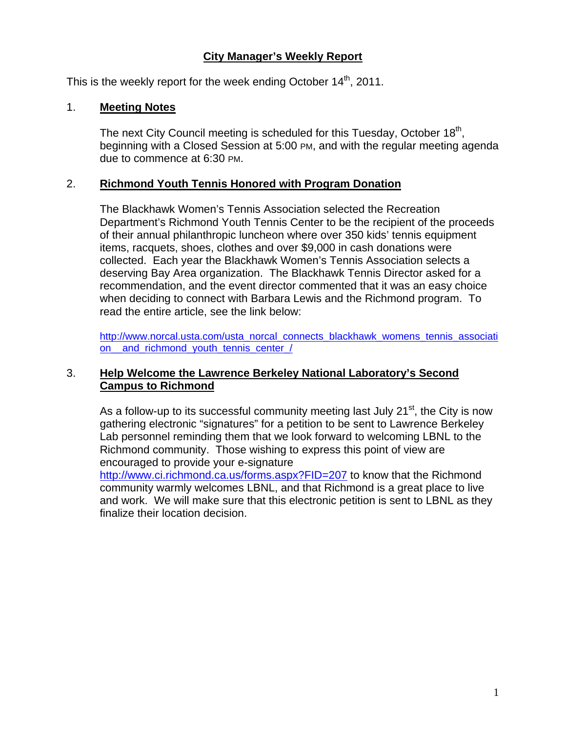# **City Manager's Weekly Report**

This is the weekly report for the week ending October  $14<sup>th</sup>$ , 2011.

## 1. **Meeting Notes**

The next City Council meeting is scheduled for this Tuesday, October 18<sup>th</sup>, beginning with a Closed Session at 5:00 PM, and with the regular meeting agenda due to commence at 6:30 PM.

#### 2. **Richmond Youth Tennis Honored with Program Donation**

The Blackhawk Women's Tennis Association selected the Recreation Department's Richmond Youth Tennis Center to be the recipient of the proceeds of their annual philanthropic luncheon where over 350 kids' tennis equipment items, racquets, shoes, clothes and over \$9,000 in cash donations were collected. Each year the Blackhawk Women's Tennis Association selects a deserving Bay Area organization. The Blackhawk Tennis Director asked for a recommendation, and the event director commented that it was an easy choice when deciding to connect with Barbara Lewis and the Richmond program. To read the entire article, see the link below:

http://www.norcal.usta.com/usta\_norcal\_connects\_blackhawk\_womens\_tennis\_associati on\_\_and\_richmond\_youth\_tennis\_center\_/

## 3. **Help Welcome the Lawrence Berkeley National Laboratory's Second Campus to Richmond**

As a follow-up to its successful community meeting last July  $21<sup>st</sup>$ , the City is now gathering electronic "signatures" for a petition to be sent to Lawrence Berkeley Lab personnel reminding them that we look forward to welcoming LBNL to the Richmond community. Those wishing to express this point of view are encouraged to provide your e-signature

http://www.ci.richmond.ca.us/forms.aspx?FID=207 to know that the Richmond community warmly welcomes LBNL, and that Richmond is a great place to live and work. We will make sure that this electronic petition is sent to LBNL as they finalize their location decision.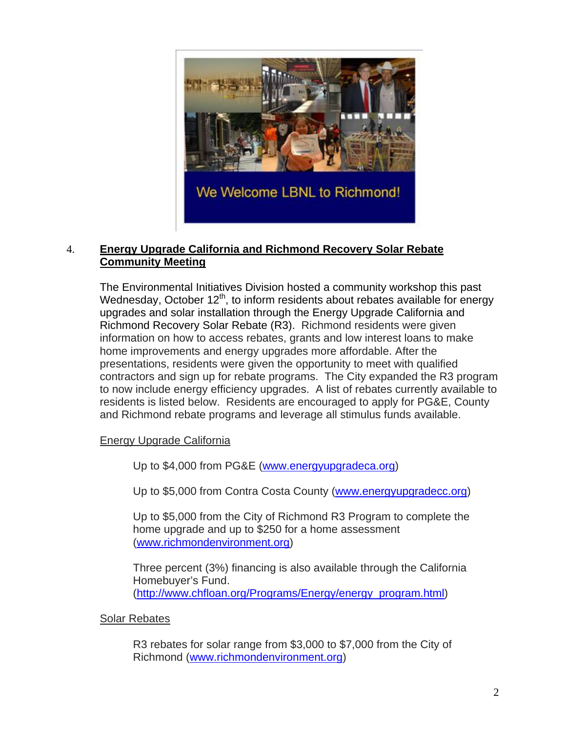

## 4. **Energy Upgrade California and Richmond Recovery Solar Rebate Community Meeting**

The Environmental Initiatives Division hosted a community workshop this past Wednesday, October  $12<sup>th</sup>$ , to inform residents about rebates available for energy upgrades and solar installation through the Energy Upgrade California and Richmond Recovery Solar Rebate (R3). Richmond residents were given information on how to access rebates, grants and low interest loans to make home improvements and energy upgrades more affordable. After the presentations, residents were given the opportunity to meet with qualified contractors and sign up for rebate programs. The City expanded the R3 program to now include energy efficiency upgrades. A list of rebates currently available to residents is listed below. Residents are encouraged to apply for PG&E, County and Richmond rebate programs and leverage all stimulus funds available.

# Energy Upgrade California

Up to \$4,000 from PG&E (www.energyupgradeca.org)

Up to \$5,000 from Contra Costa County (www.energyupgradecc.org)

Up to \$5,000 from the City of Richmond R3 Program to complete the home upgrade and up to \$250 for a home assessment (www.richmondenvironment.org)

Three percent (3%) financing is also available through the California Homebuyer's Fund. (http://www.chfloan.org/Programs/Energy/energy\_program.html)

#### Solar Rebates

R3 rebates for solar range from \$3,000 to \$7,000 from the City of Richmond (www.richmondenvironment.org)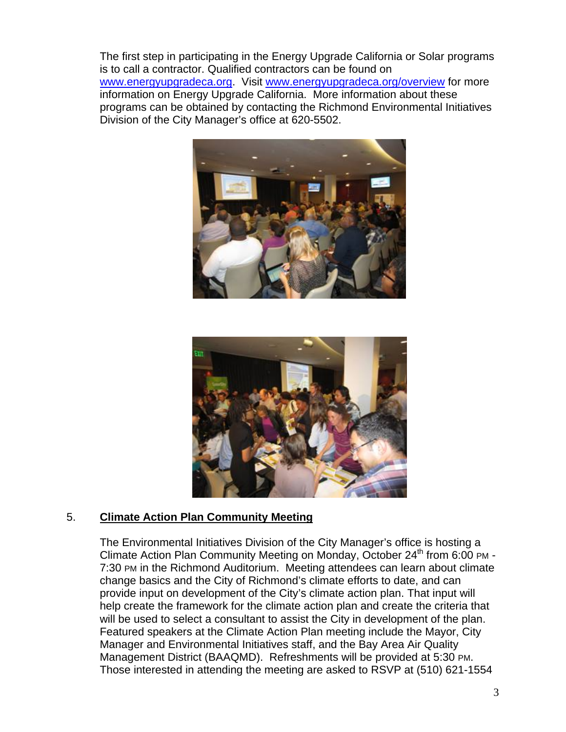The first step in participating in the Energy Upgrade California or Solar programs is to call a contractor. Qualified contractors can be found on www.energyupgradeca.org. Visit www.energyupgradeca.org/overview for more information on Energy Upgrade California. More information about these programs can be obtained by contacting the Richmond Environmental Initiatives Division of the City Manager's office at 620-5502.





# 5. **Climate Action Plan Community Meeting**

The Environmental Initiatives Division of the City Manager's office is hosting a Climate Action Plan Community Meeting on Monday, October  $24<sup>th</sup>$  from 6:00 PM -7:30 PM in the Richmond Auditorium. Meeting attendees can learn about climate change basics and the City of Richmond's climate efforts to date, and can provide input on development of the City's climate action plan. That input will help create the framework for the climate action plan and create the criteria that will be used to select a consultant to assist the City in development of the plan. Featured speakers at the Climate Action Plan meeting include the Mayor, City Manager and Environmental Initiatives staff, and the Bay Area Air Quality Management District (BAAQMD). Refreshments will be provided at 5:30 PM. Those interested in attending the meeting are asked to RSVP at (510) 621-1554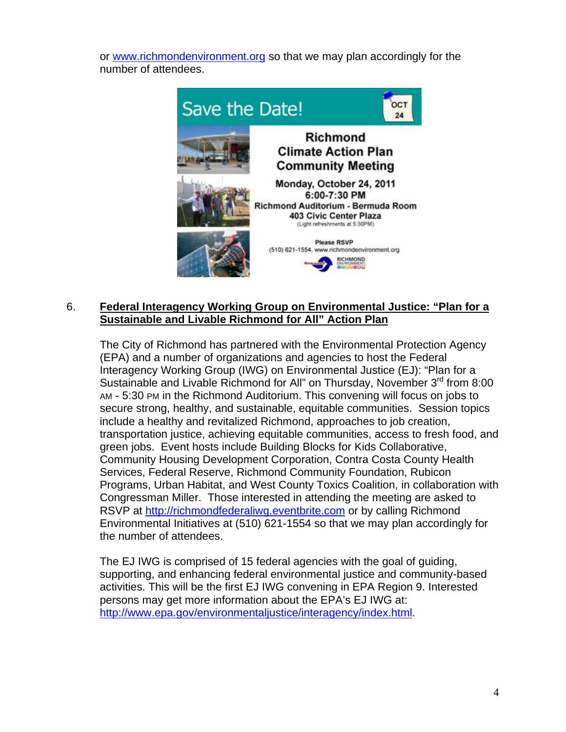or www.richmondenvironment.org so that we may plan accordingly for the number of attendees.



#### 6. **Federal Interagency Working Group on Environmental Justice: "Plan for a Sustainable and Livable Richmond for All" Action Plan**

The City of Richmond has partnered with the Environmental Protection Agency (EPA) and a number of organizations and agencies to host the Federal Interagency Working Group (IWG) on Environmental Justice (EJ): "Plan for a Sustainable and Livable Richmond for All" on Thursday, November 3<sup>rd</sup> from 8:00 AM - 5:30 PM in the Richmond Auditorium. This convening will focus on jobs to secure strong, healthy, and sustainable, equitable communities. Session topics include a healthy and revitalized Richmond, approaches to job creation, transportation justice, achieving equitable communities, access to fresh food, and green jobs. Event hosts include Building Blocks for Kids Collaborative, Community Housing Development Corporation, Contra Costa County Health Services, Federal Reserve, Richmond Community Foundation, Rubicon Programs, Urban Habitat, and West County Toxics Coalition, in collaboration with Congressman Miller. Those interested in attending the meeting are asked to RSVP at http://richmondfederaliwg.eventbrite.com or by calling Richmond Environmental Initiatives at (510) 621-1554 so that we may plan accordingly for the number of attendees.

The EJ IWG is comprised of 15 federal agencies with the goal of guiding, supporting, and enhancing federal environmental justice and community-based activities. This will be the first EJ IWG convening in EPA Region 9. Interested persons may get more information about the EPA's EJ IWG at: http://www.epa.gov/environmentaljustice/interagency/index.html.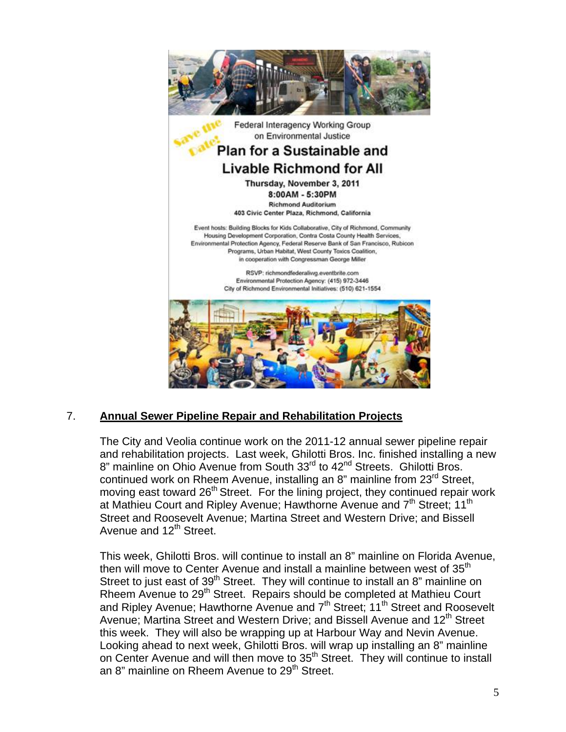

# 7. **Annual Sewer Pipeline Repair and Rehabilitation Projects**

The City and Veolia continue work on the 2011-12 annual sewer pipeline repair and rehabilitation projects. Last week, Ghilotti Bros. Inc. finished installing a new 8" mainline on Ohio Avenue from South 33<sup>rd</sup> to 42<sup>nd</sup> Streets. Ghilotti Bros. continued work on Rheem Avenue, installing an 8" mainline from 23<sup>rd</sup> Street, moving east toward 26<sup>th</sup> Street. For the lining project, they continued repair work at Mathieu Court and Ripley Avenue; Hawthorne Avenue and 7<sup>th</sup> Street; 11<sup>th</sup> Street and Roosevelt Avenue; Martina Street and Western Drive; and Bissell Avenue and 12<sup>th</sup> Street.

This week, Ghilotti Bros. will continue to install an 8" mainline on Florida Avenue, then will move to Center Avenue and install a mainline between west of 35<sup>th</sup> Street to just east of 39<sup>th</sup> Street. They will continue to install an 8" mainline on Rheem Avenue to 29<sup>th</sup> Street. Repairs should be completed at Mathieu Court and Ripley Avenue; Hawthorne Avenue and  $7<sup>th</sup>$  Street; 11<sup>th</sup> Street and Roosevelt Avenue; Martina Street and Western Drive; and Bissell Avenue and  $12<sup>th</sup>$  Street this week. They will also be wrapping up at Harbour Way and Nevin Avenue. Looking ahead to next week, Ghilotti Bros. will wrap up installing an 8" mainline on Center Avenue and will then move to 35<sup>th</sup> Street. They will continue to install an 8" mainline on Rheem Avenue to 29<sup>th</sup> Street.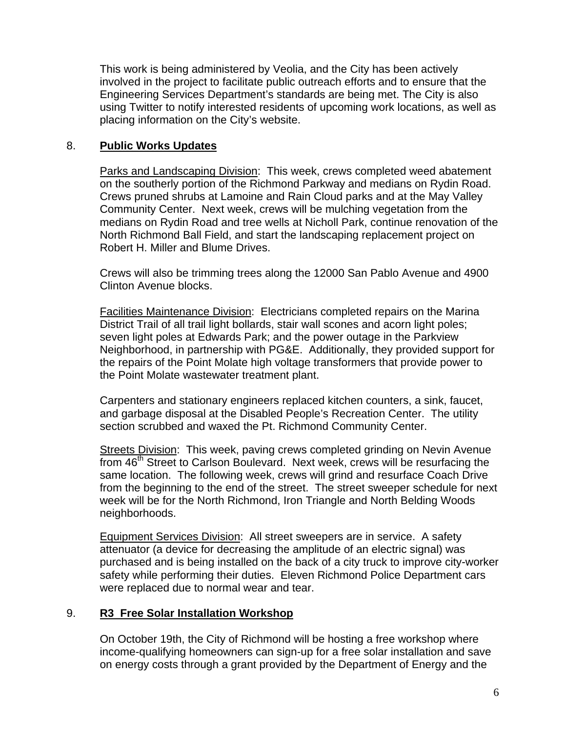This work is being administered by Veolia, and the City has been actively involved in the project to facilitate public outreach efforts and to ensure that the Engineering Services Department's standards are being met. The City is also using Twitter to notify interested residents of upcoming work locations, as well as placing information on the City's website.

#### 8. **Public Works Updates**

Parks and Landscaping Division: This week, crews completed weed abatement on the southerly portion of the Richmond Parkway and medians on Rydin Road. Crews pruned shrubs at Lamoine and Rain Cloud parks and at the May Valley Community Center. Next week, crews will be mulching vegetation from the medians on Rydin Road and tree wells at Nicholl Park, continue renovation of the North Richmond Ball Field, and start the landscaping replacement project on Robert H. Miller and Blume Drives.

Crews will also be trimming trees along the 12000 San Pablo Avenue and 4900 Clinton Avenue blocks.

Facilities Maintenance Division: Electricians completed repairs on the Marina District Trail of all trail light bollards, stair wall scones and acorn light poles; seven light poles at Edwards Park; and the power outage in the Parkview Neighborhood, in partnership with PG&E. Additionally, they provided support for the repairs of the Point Molate high voltage transformers that provide power to the Point Molate wastewater treatment plant.

Carpenters and stationary engineers replaced kitchen counters, a sink, faucet, and garbage disposal at the Disabled People's Recreation Center. The utility section scrubbed and waxed the Pt. Richmond Community Center.

Streets Division: This week, paving crews completed grinding on Nevin Avenue from 46<sup>th</sup> Street to Carlson Boulevard. Next week, crews will be resurfacing the same location. The following week, crews will grind and resurface Coach Drive from the beginning to the end of the street. The street sweeper schedule for next week will be for the North Richmond, Iron Triangle and North Belding Woods neighborhoods.

Equipment Services Division: All street sweepers are in service. A safety attenuator (a device for decreasing the amplitude of an electric signal) was purchased and is being installed on the back of a city truck to improve city-worker safety while performing their duties. Eleven Richmond Police Department cars were replaced due to normal wear and tear.

# 9. **R3 Free Solar Installation Workshop**

On October 19th, the City of Richmond will be hosting a free workshop where income-qualifying homeowners can sign-up for a free solar installation and save on energy costs through a grant provided by the Department of Energy and the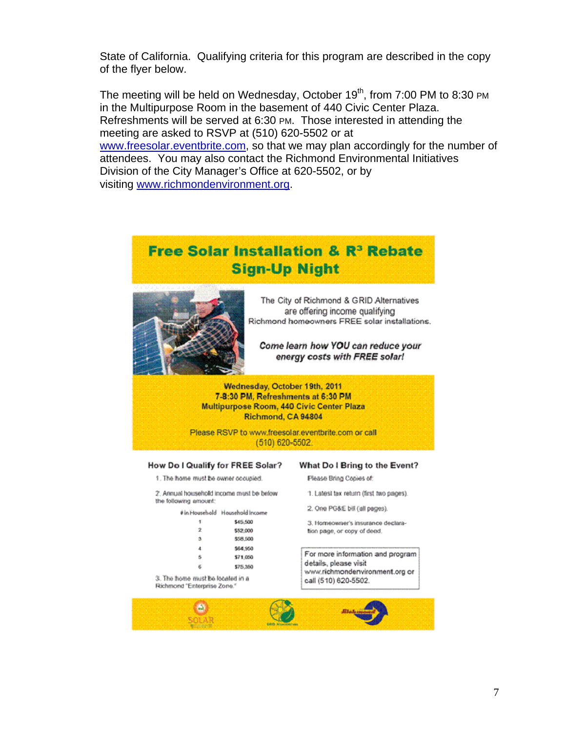State of California. Qualifying criteria for this program are described in the copy of the flyer below.

The meeting will be held on Wednesday, October 19<sup>th</sup>, from 7:00 PM to 8:30 PM in the Multipurpose Room in the basement of 440 Civic Center Plaza. Refreshments will be served at 6:30 PM. Those interested in attending the meeting are asked to RSVP at (510) 620-5502 or at www.freesolar.eventbrite.com, so that we may plan accordingly for the number of attendees. You may also contact the Richmond Environmental Initiatives Division of the City Manager's Office at 620-5502, or by visiting www.richmondenvironment.org.

# **Free Solar Installation & R<sup>3</sup> Rebate Sign-Up Night**



The City of Richmond & GRID Alternatives are offering income qualifying Richmond homeowners FREE solar installations.

Come learn how YOU can reduce your energy costs with FREE solar!

Wednesday, October 19th, 2011 7-8:30 PM, Refreshments at 6:30 PM Multipurpose Room, 440 Civic Center Plaza Richmond, CA 94804

Please RSVP to www.freesolar.eventbrite.com or call  $(510) 620 - 5502.$ 

#### How Do I Qualify for FREE Solar?

1. The home must be owner occupied.

2. Annual household income must be below the following amount:

| in Househ old Household Income |
|--------------------------------|
| \$45,500                       |
| <b>WEIGHT CONTROL</b>          |

| \$58,500 |
|----------|
| \$64,950 |
| \$71,050 |

\$75,350

ğ 3. The home must be located in a Richmond "Enterprise Zone."

 $\Delta$ 

×

ś

#### What Do I Bring to the Event?

Flease Bring Copies of:

- 1. Latest tax return (first two pages).
- 2. One PG&E bill (all pages).

3. Homeowner's insurance declaration page, or copy of deed,

For more information and program details, please visit www.richmonderivironment.org or call (510) 620-5502.